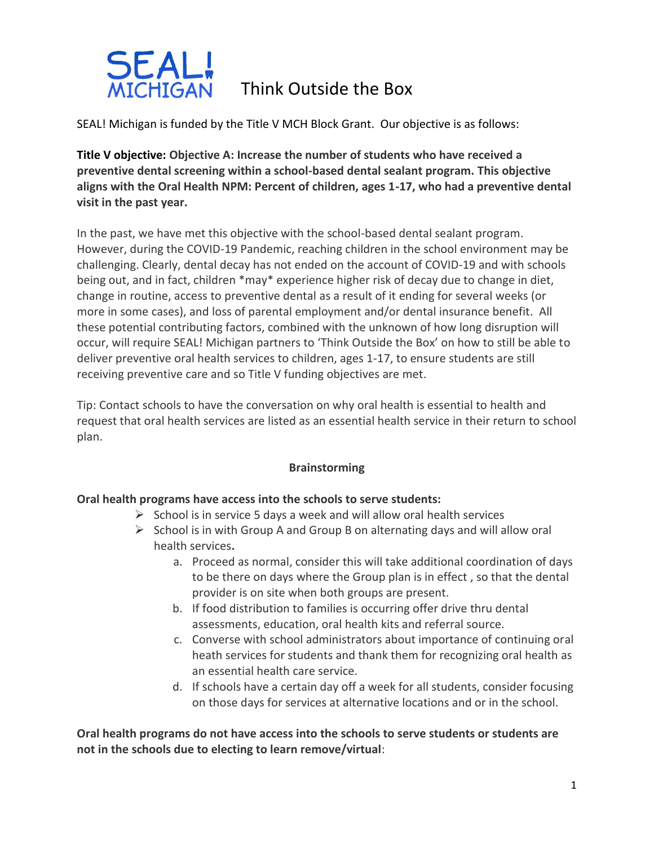

SEAL! Michigan is funded by the Title V MCH Block Grant. Our objective is as follows:

**Title V objective: Objective A: Increase the number of students who have received a preventive dental screening within a school-based dental sealant program. This objective aligns with the Oral Health NPM: Percent of children, ages 1-17, who had a preventive dental visit in the past year.**

In the past, we have met this objective with the school-based dental sealant program. However, during the COVID-19 Pandemic, reaching children in the school environment may be challenging. Clearly, dental decay has not ended on the account of COVID-19 and with schools being out, and in fact, children \*may\* experience higher risk of decay due to change in diet, change in routine, access to preventive dental as a result of it ending for several weeks (or more in some cases), and loss of parental employment and/or dental insurance benefit. All these potential contributing factors, combined with the unknown of how long disruption will occur, will require SEAL! Michigan partners to 'Think Outside the Box' on how to still be able to deliver preventive oral health services to children, ages 1-17, to ensure students are still receiving preventive care and so Title V funding objectives are met.

Tip: Contact schools to have the conversation on why oral health is essential to health and request that oral health services are listed as an essential health service in their return to school plan.

## **Brainstorming**

## **Oral health programs have access into the schools to serve students:**

- $\triangleright$  School is in service 5 days a week and will allow oral health services
- $\triangleright$  School is in with Group A and Group B on alternating days and will allow oral health services**.**
	- a. Proceed as normal, consider this will take additional coordination of days to be there on days where the Group plan is in effect , so that the dental provider is on site when both groups are present.
	- b. If food distribution to families is occurring offer drive thru dental assessments, education, oral health kits and referral source.
	- c. Converse with school administrators about importance of continuing oral heath services for students and thank them for recognizing oral health as an essential health care service.
	- d. If schools have a certain day off a week for all students, consider focusing on those days for services at alternative locations and or in the school.

**Oral health programs do not have access into the schools to serve students or students are not in the schools due to electing to learn remove/virtual**: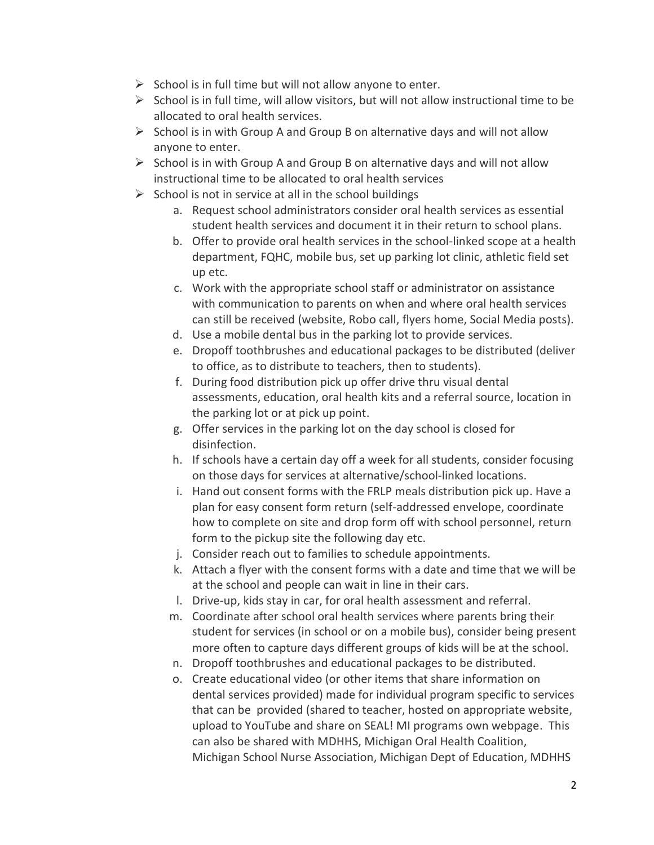- $\triangleright$  School is in full time but will not allow anyone to enter.
- $\triangleright$  School is in full time, will allow visitors, but will not allow instructional time to be allocated to oral health services.
- $\triangleright$  School is in with Group A and Group B on alternative days and will not allow anyone to enter.
- $\triangleright$  School is in with Group A and Group B on alternative days and will not allow instructional time to be allocated to oral health services
- $\triangleright$  School is not in service at all in the school buildings
	- a. Request school administrators consider oral health services as essential student health services and document it in their return to school plans.
	- b. Offer to provide oral health services in the school-linked scope at a health department, FQHC, mobile bus, set up parking lot clinic, athletic field set up etc.
	- c. Work with the appropriate school staff or administrator on assistance with communication to parents on when and where oral health services can still be received (website, Robo call, flyers home, Social Media posts).
	- d. Use a mobile dental bus in the parking lot to provide services.
	- e. Dropoff toothbrushes and educational packages to be distributed (deliver to office, as to distribute to teachers, then to students).
	- f. During food distribution pick up offer drive thru visual dental assessments, education, oral health kits and a referral source, location in the parking lot or at pick up point.
	- g. Offer services in the parking lot on the day school is closed for disinfection.
	- h. If schools have a certain day off a week for all students, consider focusing on those days for services at alternative/school-linked locations.
	- i. Hand out consent forms with the FRLP meals distribution pick up. Have a plan for easy consent form return (self-addressed envelope, coordinate how to complete on site and drop form off with school personnel, return form to the pickup site the following day etc.
	- j. Consider reach out to families to schedule appointments.
	- k. Attach a flyer with the consent forms with a date and time that we will be at the school and people can wait in line in their cars.
	- l. Drive-up, kids stay in car, for oral health assessment and referral.
	- m. Coordinate after school oral health services where parents bring their student for services (in school or on a mobile bus), consider being present more often to capture days different groups of kids will be at the school.
	- n. Dropoff toothbrushes and educational packages to be distributed.
	- o. Create educational video (or other items that share information on dental services provided) made for individual program specific to services that can be provided (shared to teacher, hosted on appropriate website, upload to YouTube and share on SEAL! MI programs own webpage. This can also be shared with MDHHS, Michigan Oral Health Coalition, Michigan School Nurse Association, Michigan Dept of Education, MDHHS